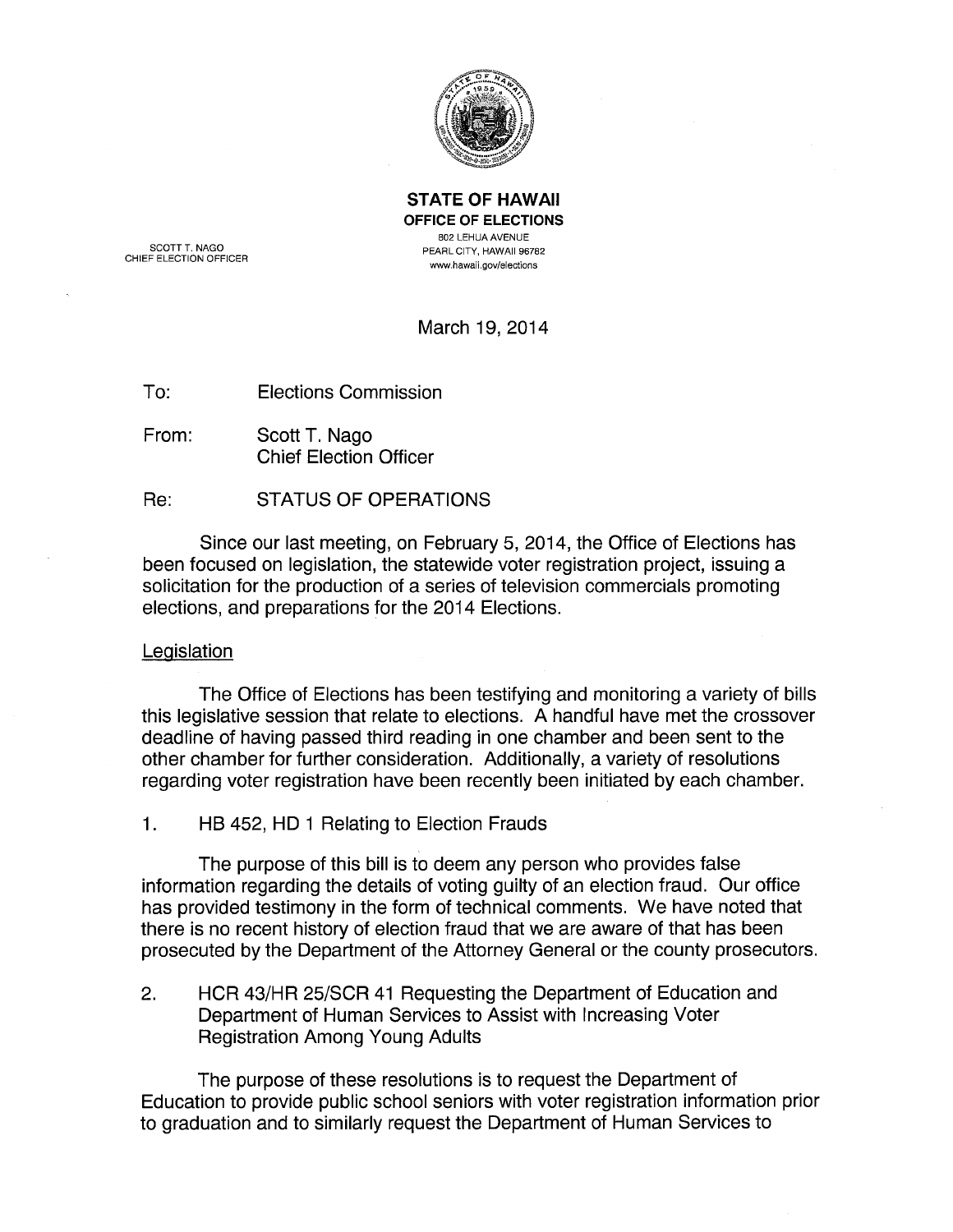

STATE OF HAWAII OFFICE OF ELECTIONS 802 LEHUAAVENUE PEARL CITY, HAWAII 96782 www.hawaii.gov/elections

SCOTT T. NAGO CHIEF ELECTION OFFICER

March 19, 2014

To: Elections Commission

From: Scott T. Nago Chief Election Officer

Re: STATUS OF OPERATIONS

Since our last meeting, on February 5, 2014, the Office of Elections has been focused on legislation, the statewide voter registration project, issuing a solicitation for the production of a series of television commercials promoting elections, and preparations for the 2014 Elections.

# Legislation

The Office of Elections has been testifying and monitoring a variety of bills this legislative session that relate to elections. A handful have met the crossover deadline of having passed third reading in one chamber and been sent to the other chamber for further consideration. Additionally, a variety of resolutions regarding voter registration have been recently been initiated by each chamber.

1. HB 452, HD 1 Relating to Election Frauds

The purpose of this bill is to deem any person who provides false information regarding the details of voting guilty of an election fraud. Our office has provided testimony in the form of technical comments. We have noted that there is no recent history of election fraud that we are aware of that has been prosecuted by the Department of the Attorney General or the county prosecutors.

2. HCR 43/HR 25/SCR 41 Requesting the Department of Education and Department of Human Services to Assist with Increasing Voter Registration Among Young Adults

The purpose of these resolutions is to request the Department of Education to provide public school seniors with voter registration information prior to graduation and to similarly request the Department of Human Services to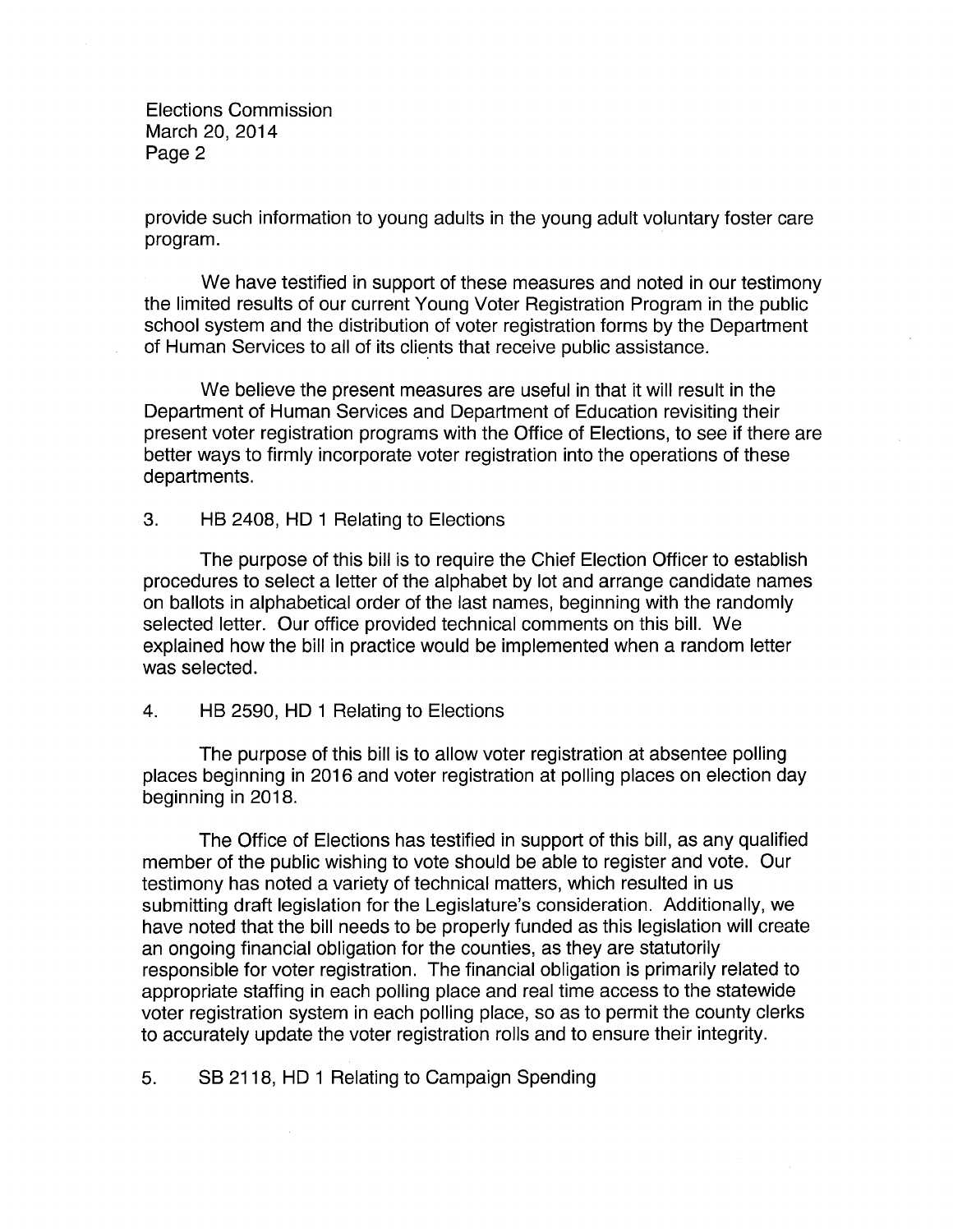provide such information to young adults in the young adult voluntary foster care program.

We have testified in support of these measures and noted in our testimony the limited results of our current Young Voter Registration Program in the public school system and the distribution of voter registration forms by the Department of Human Services to all of its clients that receive public assistance.

We believe the present measures are useful in that it will result in the Department of Human Services and Department of Education revisiting their present voter registration programs with the Office of Elections, to see if there are better ways to firmly incorporate voter registration into the operations of these departments.

3. HB 2408, HD 1 Relating to Elections

The purpose of this bill is to require the Chief Election Officer to establish procedures to select a letter of the alphabet by lot and arrange candidate names on ballots in alphabetical order of the last names, beginning with the randomly selected letter. Our office provided technical comments on this bill. We explained how the bill in practice would be implemented when a random letter was selected.

4. HB 2590, HD 1 Relating to Elections

The purpose of this bill is to allow voter registration at absentee polling places beginning in 2016 and voter registration at polling places on election day beginning in 2018.

The Office of Elections has testified in support of this bill, as any qualified member of the public wishing to vote should be able to register and vote. Our testimony has noted a variety of technical matters, which resulted in us submitting draft legislation for the Legislature's consideration. Additionally, we have noted that the bill needs to be properly funded as this legislation will create an ongoing financial obligation for the counties, as they are statutorily responsible for voter registration. The financial obligation is primarily related to appropriate staffing in each polling place and real time access to the statewide voter registration system in each polling place, so as to permit the county clerks to accurately update the voter registration rolls and to ensure their integrity.

5. SB 2118, HD 1 Relating to Campaign Spending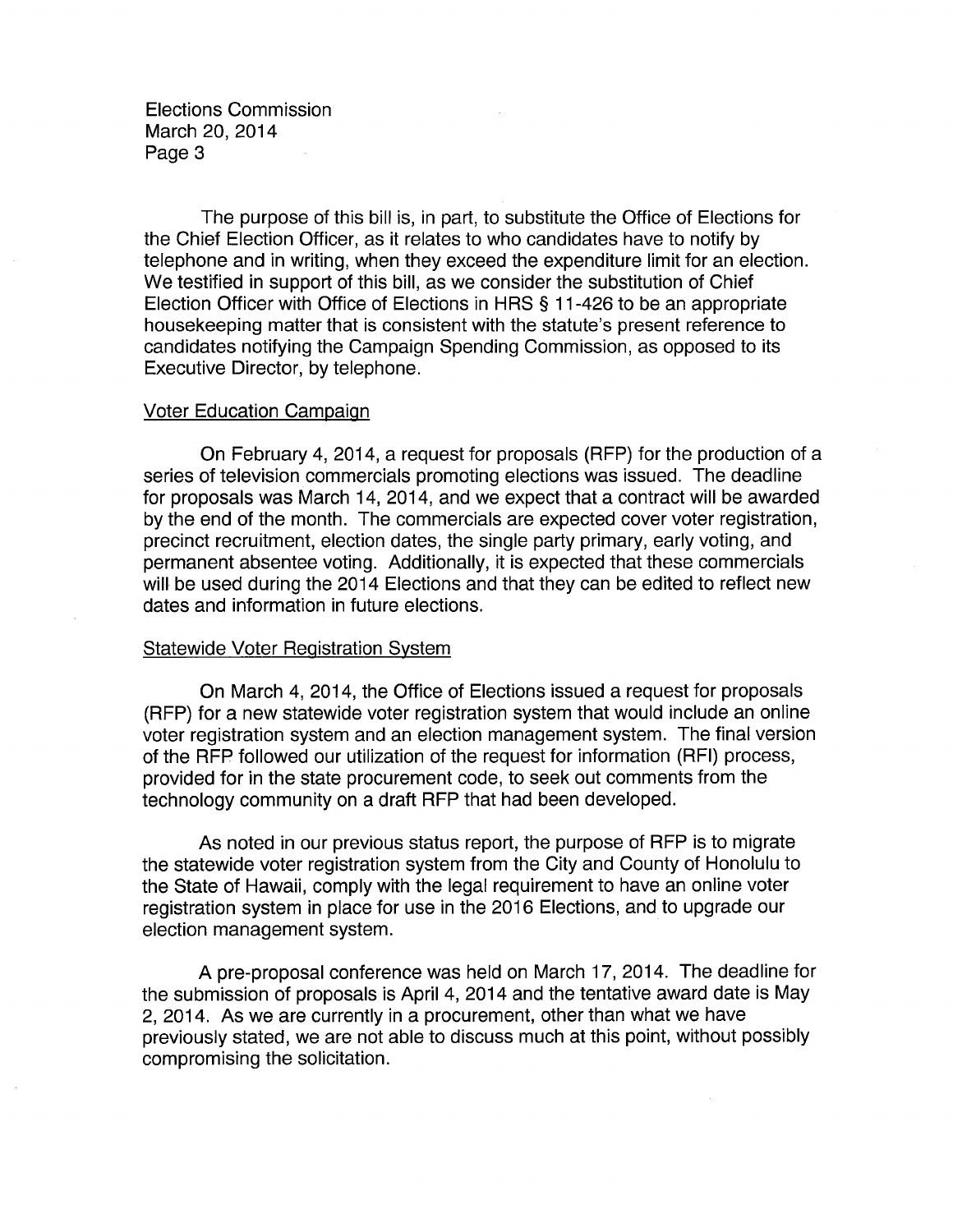The purpose of this bill is, in part, to substitute the Office of Elections for the Chief Election Officer, as it relates to who candidates have to notify by telephone and in writing, when they exceed the expenditure limit for an election. We testified in support of this bill, as we consider the substitution of Chief Election Officer with Office of Elections in HRS § 11-426 to be an appropriate housekeeping matter that is consistent with the statute's present reference to candidates notifying the Campaign Spending Commission, as opposed to its Executive Director, by telephone.

### Voter Education Campaign

On February 4, 2014, a request for proposals (RFP) for the production of a series of television commercials promoting elections was issued. The deadline for proposals was March 14, 2014, and we expect that a contract will be awarded by the end of the month. The commercials are expected cover voter registration, precinct recruitment, election dates, the single party primary, early voting, and permanent absentee voting. Additionally, it is expected that these commercials will be used during the 2014 Elections and that they can be edited to reflect new dates and information in future elections.

### Statewide Voter Registration System

On March 4, 2014, the Office of Elections issued a request for proposals (RFP) for a new statewide voter registration system that would include an online voter registration system and an election management system. The final version of the RFP followed our utilization of the request for information (RFI) process, provided for in the state procurement code, to seek out comments from the technology community on a draft RFP that had been developed.

As noted in our previous status report, the purpose of RFP is to migrate the statewide voter registration system from the City and County of Honolulu to the State of Hawaii, comply with the legal requirement to have an online voter registration system in place for use in the 2016 Elections, and to upgrade our election management system.

A pre-proposal conference was held on March 17, 2014. The deadline for the submission of proposals is April 4, 2014 and the tentative award date is May 2, 2014. As we are currently in a procurement, other than what we have previously stated, we are not able to discuss much at this point, without possibly compromising the solicitation.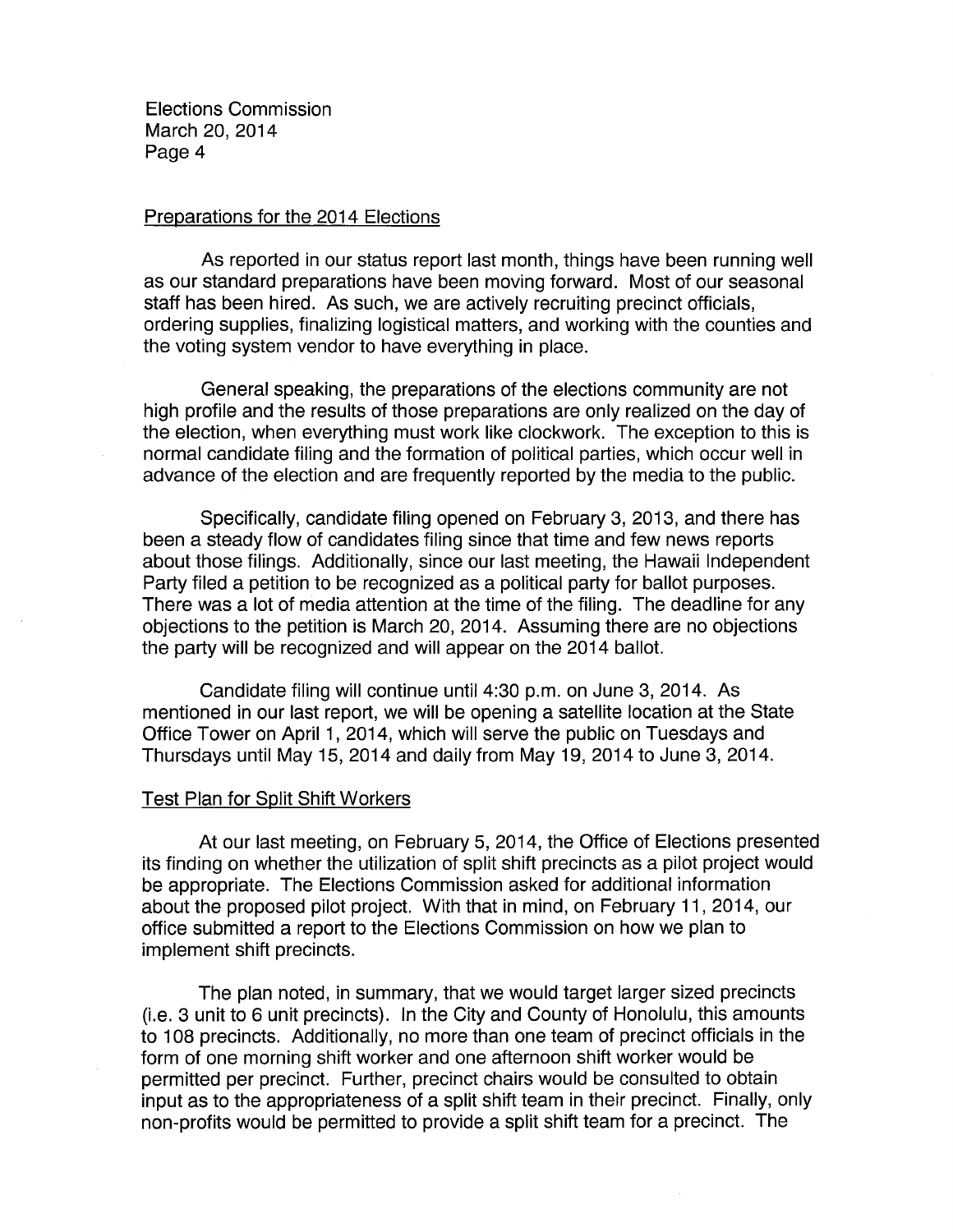## Preparations for the 2014 Elections

As reported in our status report last month, things have been running well as our standard preparations have been moving forward. Most of our seasonal staff has been hired. As such, we are actively recruiting precinct officials, ordering supplies, finalizing logistical matters, and working with the counties and the voting system vendor to have everything in place.

General speaking, the preparations of the elections community are not high profile and the results of those preparations are only realized on the day of the election, when everything must work like clockwork. The exception to this is normal candidate filing and the formation of political parties, which occur well in advance of the election and are frequently reported by the media to the public.

Specifically, candidate filing opened on February 3, 2013, and there has been a steady flow of candidates filing since that time and few news reports about those filings. Additionally, since our last meeting, the Hawaii Independent Party filed a petition to be recognized as a political party for ballot purposes. There was a lot of media attention at the time of the filing. The deadline for any objections to the petition is March 20, 2014. Assuming there are no objections the party will be recognized and will appear on the 2014 ballot.

Candidate filing will continue until 4:30 p.m. on June 3, 2014. As mentioned in our last report, we will be opening a satellite location at the State Office Tower on April 1, 2014, which will serve the public on Tuesdays and Thursdays until May 15, 2014 and daily from May 19, 2014 to June 3, 2014.

## Test Plan for Split Shift Workers

At our last meeting, on February 5, 2014, the Office of Elections presented its finding on whether the utilization of split shift precincts as a pilot project would be appropriate. The Elections Commission asked for additional information about the proposed pilot project. With that in mind, on February 11, 2014, our office submitted a report to the Elections Commission on how we plan to implement shift precincts.

The plan noted, in summary, that we would target larger sized precincts (i.e. 3 unit to 6 unit precincts). In the City and County of Honolulu, this amounts to 1 08 precincts. Additionally, no more than one team of precinct officials in the form of one morning shift worker and one afternoon shift worker would be permitted per precinct. Further, precinct chairs would be consulted to obtain input as to the appropriateness of a split shift team in their precinct. Finally, only non-profits would be permitted to provide a split shift team for a precinct. The